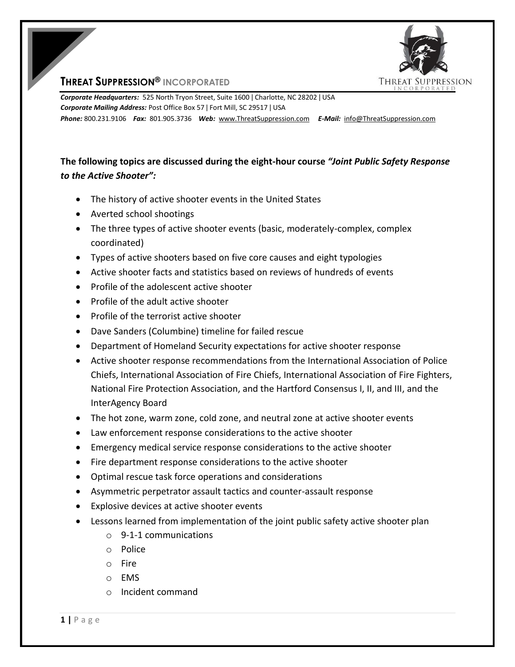

## **THREAT SUPPRESSION® INCORPORATED**

*Corporate Headquarters:* 525 North Tryon Street, Suite 1600 ǀ Charlotte, NC 28202 ǀ USA *Corporate Mailing Address:* Post Office Box 57 ǀ Fort Mill, SC 29517 ǀ USA *Phone:* 800.231.9106 *Fax:* 801.905.3736 *Web:* www.ThreatSuppression.com *E-Mail:* info@ThreatSuppression.com

## **The following topics are discussed during the eight-hour course** *"Joint Public Safety Response to the Active Shooter":*

- The history of active shooter events in the United States
- Averted school shootings
- The three types of active shooter events (basic, moderately-complex, complex coordinated)
- Types of active shooters based on five core causes and eight typologies
- Active shooter facts and statistics based on reviews of hundreds of events
- Profile of the adolescent active shooter
- Profile of the adult active shooter
- Profile of the terrorist active shooter
- Dave Sanders (Columbine) timeline for failed rescue
- Department of Homeland Security expectations for active shooter response
- Active shooter response recommendations from the International Association of Police Chiefs, International Association of Fire Chiefs, International Association of Fire Fighters, National Fire Protection Association, and the Hartford Consensus I, II, and III, and the InterAgency Board
- The hot zone, warm zone, cold zone, and neutral zone at active shooter events
- Law enforcement response considerations to the active shooter
- Emergency medical service response considerations to the active shooter
- Fire department response considerations to the active shooter
- Optimal rescue task force operations and considerations
- Asymmetric perpetrator assault tactics and counter-assault response
- Explosive devices at active shooter events
- Lessons learned from implementation of the joint public safety active shooter plan
	- o 9-1-1 communications
	- o Police
	- o Fire
	- o EMS
	- o Incident command